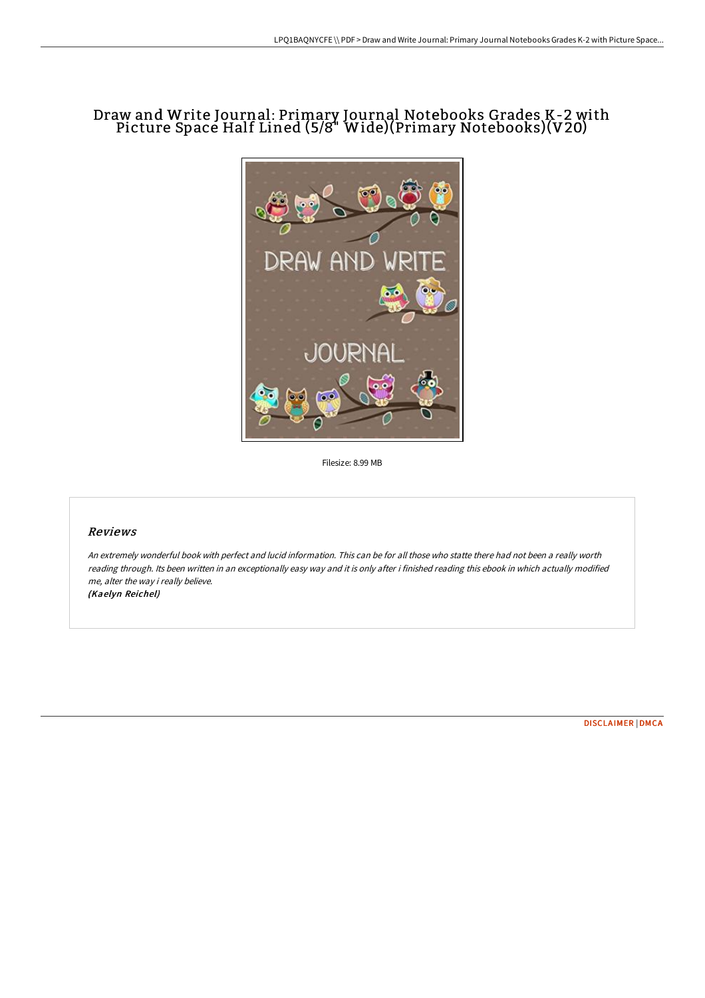## Draw and Write Journal: Primary Journal Notebooks Grades K-2 with Picture Space Half Lined (5/8" Wide)(Primary Notebooks)(V20)



Filesize: 8.99 MB

## Reviews

An extremely wonderful book with perfect and lucid information. This can be for all those who statte there had not been <sup>a</sup> really worth reading through. Its been written in an exceptionally easy way and it is only after i finished reading this ebook in which actually modified me, alter the way i really believe. (Kaelyn Reichel)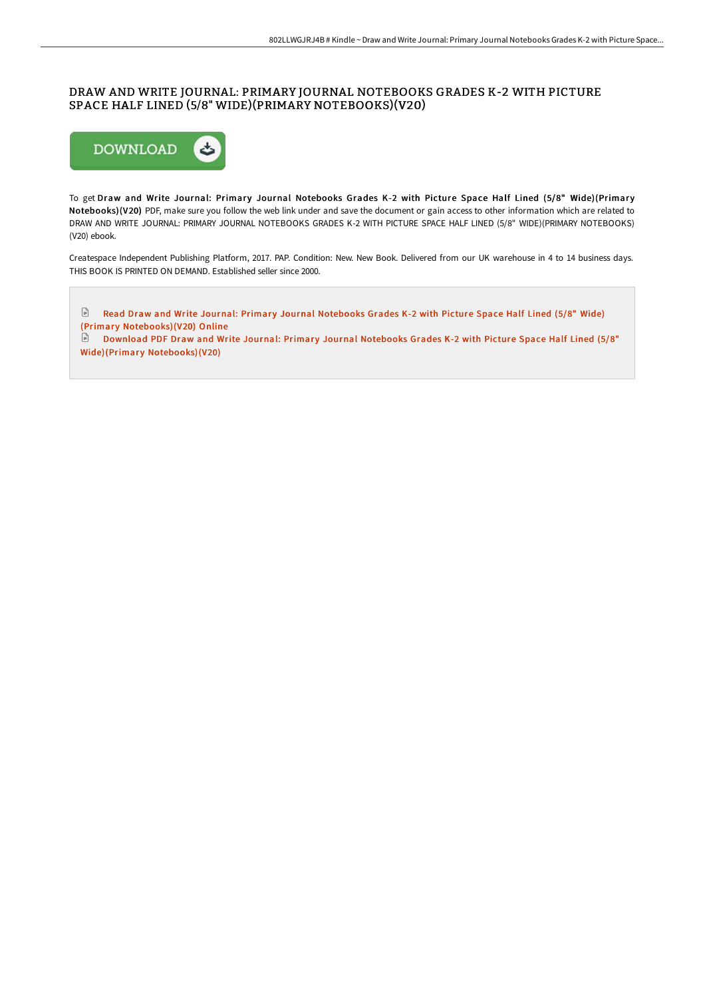## DRAW AND WRITE JOURNAL: PRIMARY JOURNAL NOTEBOOKS GRADES K-2 WITH PICTURE SPACE HALF LINED (5/8" WIDE)(PRIMARY NOTEBOOKS)(V20)



To get Draw and Write Journal: Primary Journal Notebooks Grades K-2 with Picture Space Half Lined (5/8" Wide)(Primary Notebooks)(V20) PDF, make sure you follow the web link under and save the document or gain access to other information which are related to DRAW AND WRITE JOURNAL: PRIMARY JOURNAL NOTEBOOKS GRADES K-2 WITH PICTURE SPACE HALF LINED (5/8" WIDE)(PRIMARY NOTEBOOKS) (V20) ebook.

Createspace Independent Publishing Platform, 2017. PAP. Condition: New. New Book. Delivered from our UK warehouse in 4 to 14 business days. THIS BOOK IS PRINTED ON DEMAND. Established seller since 2000.